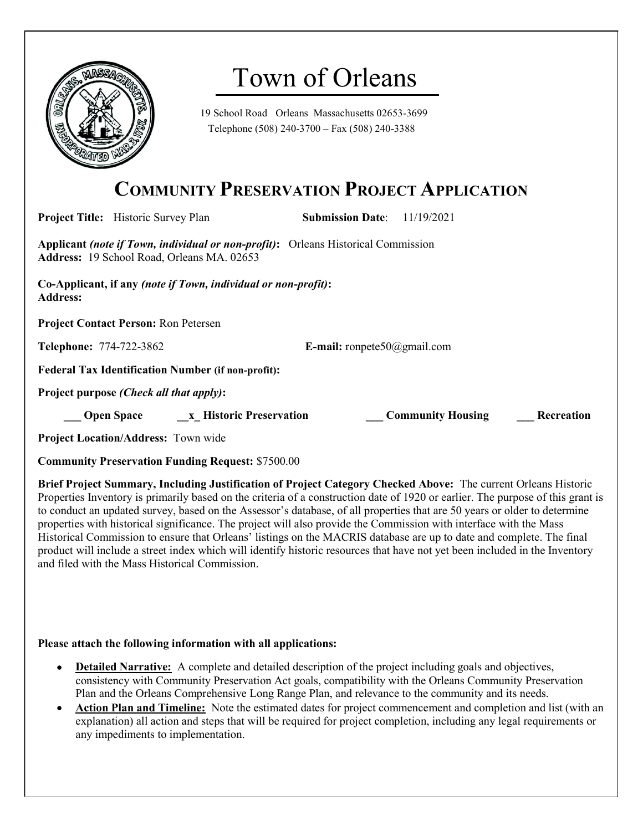

# Town of Orleans

19 School Road Orleans Massachusetts 02653-3699 Telephone (508) 240-3700 – Fax (508) 240-3388

## COMMUNITY PRESERVATION PROJECT APPLICATION

| <b>Project Title:</b> Historic Survey Plan                                                                                                                                                                                           | <b>Submission Date:</b> 11/19/2021 |                          |                   |
|--------------------------------------------------------------------------------------------------------------------------------------------------------------------------------------------------------------------------------------|------------------------------------|--------------------------|-------------------|
| Applicant (note if Town, individual or non-profit): Orleans Historical Commission<br><b>Address:</b> 19 School Road, Orleans MA. 02653                                                                                               |                                    |                          |                   |
| Co-Applicant, if any (note if Town, individual or non-profit):<br><b>Address:</b>                                                                                                                                                    |                                    |                          |                   |
| <b>Project Contact Person: Ron Petersen</b>                                                                                                                                                                                          |                                    |                          |                   |
| <b>Telephone: 774-722-3862</b>                                                                                                                                                                                                       | <b>E-mail:</b> ronpete50@gmail.com |                          |                   |
| <b>Federal Tax Identification Number (if non-profit):</b>                                                                                                                                                                            |                                    |                          |                   |
| Project purpose <i>(Check all that apply)</i> :                                                                                                                                                                                      |                                    |                          |                   |
| <b>Common Common Common Common Common Common Common Common Common Common Common Common Common Common Common Common Common Common Common Common Common Common Common Common Common Common Common Common Common Common Common Comm</b> |                                    | <b>Community Housing</b> | <b>Recreation</b> |
| <b>Project Location/Address: Town wide</b>                                                                                                                                                                                           |                                    |                          |                   |

Community Preservation Funding Request: \$7500.00

Brief Project Summary, Including Justification of Project Category Checked Above: The current Orleans Historic Properties Inventory is primarily based on the criteria of a construction date of 1920 or earlier. The purpose of this grant is to conduct an updated survey, based on the Assessor's database, of all properties that are 50 years or older to determine properties with historical significance. The project will also provide the Commission with interface with the Mass Historical Commission to ensure that Orleans' listings on the MACRIS database are up to date and complete. The final product will include a street index which will identify historic resources that have not yet been included in the Inventory and filed with the Mass Historical Commission.

#### Please attach the following information with all applications:

- Detailed Narrative: A complete and detailed description of the project including goals and objectives, consistency with Community Preservation Act goals, compatibility with the Orleans Community Preservation Plan and the Orleans Comprehensive Long Range Plan, and relevance to the community and its needs.
- Action Plan and Timeline: Note the estimated dates for project commencement and completion and list (with an explanation) all action and steps that will be required for project completion, including any legal requirements or any impediments to implementation.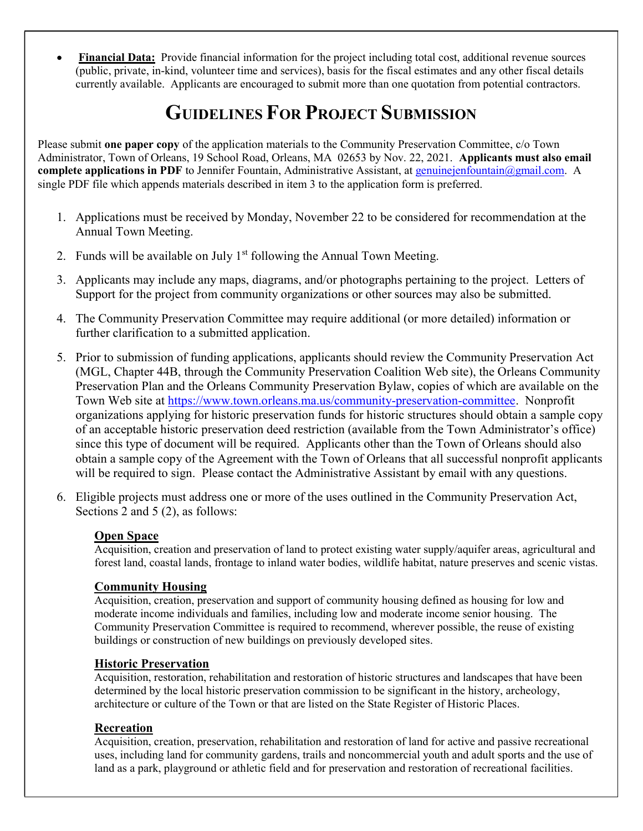Financial Data: Provide financial information for the project including total cost, additional revenue sources (public, private, in-kind, volunteer time and services), basis for the fiscal estimates and any other fiscal details currently available. Applicants are encouraged to submit more than one quotation from potential contractors.

# GUIDELINES FOR PROJECT SUBMISSION

Please submit one paper copy of the application materials to the Community Preservation Committee, c/o Town Administrator, Town of Orleans, 19 School Road, Orleans, MA 02653 by Nov. 22, 2021. Applicants must also email complete applications in PDF to Jennifer Fountain, Administrative Assistant, at genuinejenfountain@gmail.com. A single PDF file which appends materials described in item 3 to the application form is preferred.

- 1. Applications must be received by Monday, November 22 to be considered for recommendation at the Annual Town Meeting.
- 2. Funds will be available on July  $1<sup>st</sup>$  following the Annual Town Meeting.
- 3. Applicants may include any maps, diagrams, and/or photographs pertaining to the project. Letters of Support for the project from community organizations or other sources may also be submitted.
- 4. The Community Preservation Committee may require additional (or more detailed) information or further clarification to a submitted application.
- 5. Prior to submission of funding applications, applicants should review the Community Preservation Act (MGL, Chapter 44B, through the Community Preservation Coalition Web site), the Orleans Community Preservation Plan and the Orleans Community Preservation Bylaw, copies of which are available on the Town Web site at https://www.town.orleans.ma.us/community-preservation-committee. Nonprofit organizations applying for historic preservation funds for historic structures should obtain a sample copy of an acceptable historic preservation deed restriction (available from the Town Administrator's office) since this type of document will be required. Applicants other than the Town of Orleans should also obtain a sample copy of the Agreement with the Town of Orleans that all successful nonprofit applicants will be required to sign. Please contact the Administrative Assistant by email with any questions.
- 6. Eligible projects must address one or more of the uses outlined in the Community Preservation Act, Sections 2 and 5 (2), as follows:

#### Open Space

Acquisition, creation and preservation of land to protect existing water supply/aquifer areas, agricultural and forest land, coastal lands, frontage to inland water bodies, wildlife habitat, nature preserves and scenic vistas.

### Community Housing

Acquisition, creation, preservation and support of community housing defined as housing for low and moderate income individuals and families, including low and moderate income senior housing. The Community Preservation Committee is required to recommend, wherever possible, the reuse of existing buildings or construction of new buildings on previously developed sites.

#### Historic Preservation

Acquisition, restoration, rehabilitation and restoration of historic structures and landscapes that have been determined by the local historic preservation commission to be significant in the history, archeology, architecture or culture of the Town or that are listed on the State Register of Historic Places.

### Recreation

Acquisition, creation, preservation, rehabilitation and restoration of land for active and passive recreational uses, including land for community gardens, trails and noncommercial youth and adult sports and the use of land as a park, playground or athletic field and for preservation and restoration of recreational facilities.